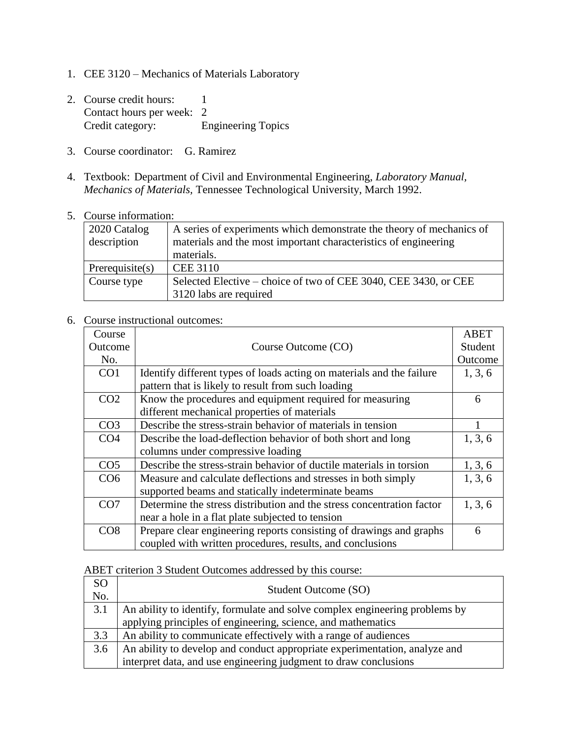- 1. CEE 3120 Mechanics of Materials Laboratory
- 2. Course credit hours: 1 Contact hours per week: 2 Credit category: Engineering Topics
- 3. Course coordinator: G. Ramirez
- 4. Textbook: Department of Civil and Environmental Engineering, *Laboratory Manual, Mechanics of Materials,* Tennessee Technological University, March 1992.
- 5. Course information:

| 2020 Catalog<br>description | A series of experiments which demonstrate the theory of mechanics of<br>materials and the most important characteristics of engineering<br>materials. |
|-----------------------------|-------------------------------------------------------------------------------------------------------------------------------------------------------|
| Prerequisite $(s)$          | <b>CEE 3110</b>                                                                                                                                       |
| Course type                 | Selected Elective – choice of two of CEE 3040, CEE 3430, or CEE<br>3120 labs are required                                                             |

## 6. Course instructional outcomes:

| Course          |                                                                       | <b>ABET</b> |
|-----------------|-----------------------------------------------------------------------|-------------|
| Outcome         | Course Outcome (CO)                                                   | Student     |
| No.             |                                                                       | Outcome     |
| CO <sub>1</sub> | Identify different types of loads acting on materials and the failure | 1, 3, 6     |
|                 | pattern that is likely to result from such loading                    |             |
| CO <sub>2</sub> | Know the procedures and equipment required for measuring              | 6           |
|                 | different mechanical properties of materials                          |             |
| CO <sub>3</sub> | Describe the stress-strain behavior of materials in tension           |             |
| CO <sub>4</sub> | Describe the load-deflection behavior of both short and long          | 1, 3, 6     |
|                 | columns under compressive loading                                     |             |
| CO <sub>5</sub> | Describe the stress-strain behavior of ductile materials in torsion   | 1, 3, 6     |
| CO <sub>6</sub> | Measure and calculate deflections and stresses in both simply         | 1, 3, 6     |
|                 | supported beams and statically indeterminate beams                    |             |
| CO <sub>7</sub> | Determine the stress distribution and the stress concentration factor | 1, 3, 6     |
|                 | near a hole in a flat plate subjected to tension                      |             |
| CO8             | Prepare clear engineering reports consisting of drawings and graphs   | 6           |
|                 | coupled with written procedures, results, and conclusions             |             |

ABET criterion 3 Student Outcomes addressed by this course:

| <sub>SO</sub><br>No. | Student Outcome (SO)                                                        |
|----------------------|-----------------------------------------------------------------------------|
| 3.1                  | An ability to identify, formulate and solve complex engineering problems by |
|                      | applying principles of engineering, science, and mathematics                |
| 3.3                  | An ability to communicate effectively with a range of audiences             |
| 3.6                  | An ability to develop and conduct appropriate experimentation, analyze and  |
|                      | interpret data, and use engineering judgment to draw conclusions            |